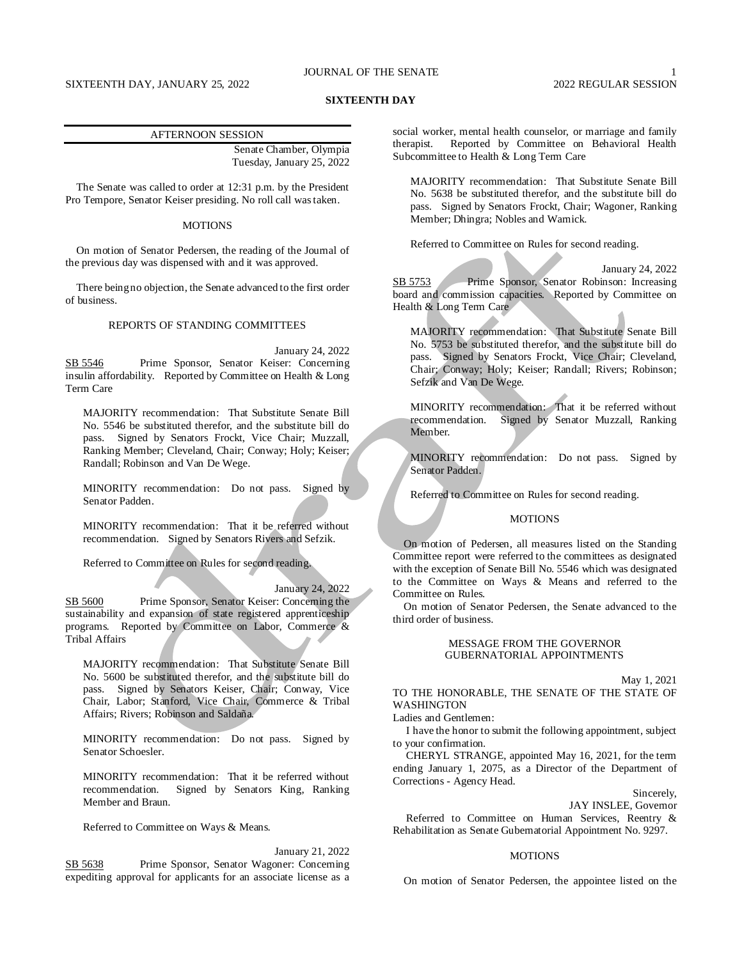# JOURNAL OF THE SENATE

# SIXTEENTH DAY, JANUARY 25, 2022 2022 2022 2022 2022 REGULAR SESSION

# **SIXTEENTH DAY**

#### AFTERNOON SESSION

Senate Chamber, Olympia Tuesday, January 25, 2022

The Senate was called to order at 12:31 p.m. by the President Pro Tempore, Senator Keiser presiding. No roll call was taken.

# **MOTIONS**

On motion of Senator Pedersen, the reading of the Journal of the previous day was dispensed with and it was approved.

There being no objection, the Senate advanced to the first order of business.

## REPORTS OF STANDING COMMITTEES

January 24, 2022 SB 5546 Prime Sponsor, Senator Keiser: Concerning insulin affordability. Reported by Committee on Health & Long Term Care

MAJORITY recommendation: That Substitute Senate Bill No. 5546 be substituted therefor, and the substitute bill do pass. Signed by Senators Frockt, Vice Chair; Muzzall, Ranking Member; Cleveland, Chair; Conway; Holy; Keiser; Randall; Robinson and Van De Wege.

MINORITY recommendation: Do not pass. Signed by Senator Padden.

MINORITY recommendation: That it be referred without recommendation. Signed by Senators Rivers and Sefzik.

Referred to Committee on Rules for second reading.

### January 24, 2022

SB 5600 Prime Sponsor, Senator Keiser: Concerning the sustainability and expansion of state registered apprenticeship programs. Reported by Committee on Labor, Commerce & Tribal Affairs

MAJORITY recommendation: That Substitute Senate Bill No. 5600 be substituted therefor, and the substitute bill do pass. Signed by Senators Keiser, Chair; Conway, Vice Chair, Labor; Stanford, Vice Chair, Commerce & Tribal Affairs; Rivers; Robinson and Saldaña.

MINORITY recommendation: Do not pass. Signed by Senator Schoesler.

MINORITY recommendation: That it be referred without recommendation. Signed by Senators King, Ranking Member and Braun.

Referred to Committee on Ways & Means.

January 21, 2022

SB 5638 Prime Sponsor, Senator Wagoner: Concerning expediting approval for applicants for an associate license as a social worker, mental health counselor, or marriage and family therapist. Reported by Committee on Behavioral Health Subcommittee to Health & Long Term Care

MAJORITY recommendation: That Substitute Senate Bill No. 5638 be substituted therefor, and the substitute bill do pass. Signed by Senators Frockt, Chair; Wagoner, Ranking Member; Dhingra; Nobles and Warnick.

Referred to Committee on Rules for second reading.

January 24, 2022 SB 5753 Prime Sponsor, Senator Robinson: Increasing board and commission capacities. Reported by Committee on Health & Long Term Care

MAJORITY recommendation: That Substitute Senate Bill No. 5753 be substituted therefor, and the substitute bill do pass. Signed by Senators Frockt, Vice Chair; Cleveland, Chair; Conway; Holy; Keiser; Randall; Rivers; Robinson; Sefzik and Van De Wege.

MINORITY recommendation: That it be referred without recommendation. Signed by Senator Muzzall, Ranking Member.

MINORITY recommendation: Do not pass. Signed by Senator Padden.

Referred to Committee on Rules for second reading.

# **MOTIONS**

On motion of Pedersen, all measures listed on the Standing Committee report were referred to the committees as designated with the exception of Senate Bill No. 5546 which was designated to the Committee on Ways & Means and referred to the Committee on Rules.

On motion of Senator Pedersen, the Senate advanced to the third order of business.

# MESSAGE FROM THE GOVERNOR GUBERNATORIAL APPOINTMENTS

May 1, 2021

TO THE HONORABLE, THE SENATE OF THE STATE OF **WASHINGTON** 

Ladies and Gentlemen:

I have the honor to submit the following appointment, subject to your confirmation.

CHERYL STRANGE, appointed May 16, 2021, for the term ending January 1, 2075, as a Director of the Department of Corrections - Agency Head.

## Sincerely,

JAY INSLEE, Governor

Referred to Committee on Human Services, Reentry & Rehabilitation as Senate Gubernatorial Appointment No. 9297.

#### MOTIONS

On motion of Senator Pedersen, the appointee listed on the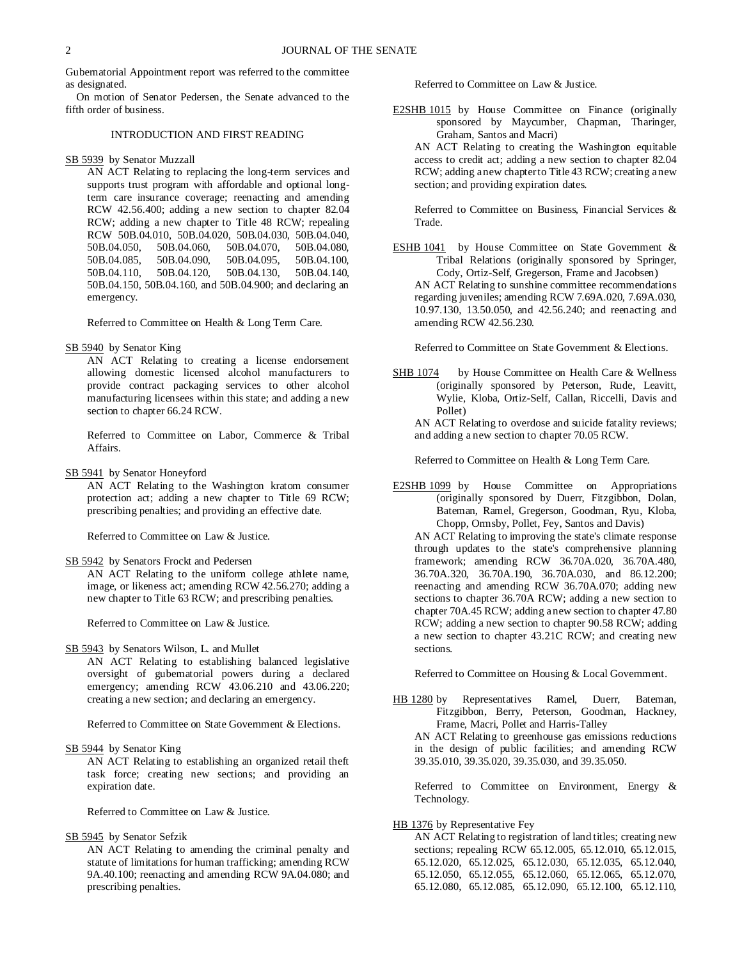Gubernatorial Appointment report was referred to the committee as designated.

On motion of Senator Pedersen, the Senate advanced to the fifth order of business.

## INTRODUCTION AND FIRST READING

## SB 5939 by Senator Muzzall

AN ACT Relating to replacing the long-term services and supports trust program with affordable and optional longterm care insurance coverage; reenacting and amending RCW 42.56.400; adding a new section to chapter 82.04 RCW; adding a new chapter to Title 48 RCW; repealing RCW 50B.04.010, 50B.04.020, 50B.04.030, 50B.04.040, 50B.04.050, 50B.04.085, 50B.04.090, 50B.04.095, 50B.04.100, 50B.04.110, 50B.04.120, 50B.04.130, 50B.04.140, 50B.04.150, 50B.04.160, and 50B.04.900; and declaring an emergency.

Referred to Committee on Health & Long Term Care.

## SB 5940 by Senator King

AN ACT Relating to creating a license endorsement allowing domestic licensed alcohol manufacturers to provide contract packaging services to other alcohol manufacturing licensees within this state; and adding a new section to chapter 66.24 RCW.

Referred to Committee on Labor, Commerce & Tribal Affairs.

SB 5941 by Senator Honeyford

AN ACT Relating to the Washington kratom consumer protection act; adding a new chapter to Title 69 RCW; prescribing penalties; and providing an effective date.

Referred to Committee on Law & Justice.

SB 5942 by Senators Frockt and Pedersen

AN ACT Relating to the uniform college athlete name, image, or likeness act; amending RCW 42.56.270; adding a new chapter to Title 63 RCW; and prescribing penalties.

Referred to Committee on Law & Justice.

SB 5943 by Senators Wilson, L. and Mullet

AN ACT Relating to establishing balanced legislative oversight of gubernatorial powers during a declared emergency; amending RCW 43.06.210 and 43.06.220; creating a new section; and declaring an emergency.

Referred to Committee on State Government & Elections.

SB 5944 by Senator King

AN ACT Relating to establishing an organized retail theft task force; creating new sections; and providing an expiration date.

Referred to Committee on Law & Justice.

SB 5945 by Senator Sefzik

AN ACT Relating to amending the criminal penalty and statute of limitations for human trafficking; amending RCW 9A.40.100; reenacting and amending RCW 9A.04.080; and prescribing penalties.

Referred to Committee on Law & Justice.

- E2SHB 1015 by House Committee on Finance (originally sponsored by Maycumber, Chapman, Tharinger, Graham, Santos and Macri)
	- AN ACT Relating to creating the Washington equitable access to credit act; adding a new section to chapter 82.04 RCW; adding a new chapter to Title 43 RCW; creating a new section; and providing expiration dates.

Referred to Committee on Business, Financial Services & Trade.

ESHB 1041 by House Committee on State Government & Tribal Relations (originally sponsored by Springer, Cody, Ortiz-Self, Gregerson, Frame and Jacobsen) AN ACT Relating to sunshine committee recommendations regarding juveniles; amending RCW 7.69A.020, 7.69A.030, 10.97.130, 13.50.050, and 42.56.240; and reenacting and amending RCW 42.56.230.

Referred to Committee on State Government & Elections.

SHB 1074 by House Committee on Health Care & Wellness (originally sponsored by Peterson, Rude, Leavitt, Wylie, Kloba, Ortiz-Self, Callan, Riccelli, Davis and Pollet)

AN ACT Relating to overdose and suicide fatality reviews; and adding a new section to chapter 70.05 RCW.

Referred to Committee on Health & Long Term Care.

E2SHB 1099 by House Committee on Appropriations (originally sponsored by Duerr, Fitzgibbon, Dolan, Bateman, Ramel, Gregerson, Goodman, Ryu, Kloba, Chopp, Ormsby, Pollet, Fey, Santos and Davis)

AN ACT Relating to improving the state's climate response through updates to the state's comprehensive planning framework; amending RCW 36.70A.020, 36.70A.480, 36.70A.320, 36.70A.190, 36.70A.030, and 86.12.200; reenacting and amending RCW 36.70A.070; adding new sections to chapter 36.70A RCW; adding a new section to chapter 70A.45 RCW; adding a new section to chapter 47.80 RCW; adding a new section to chapter 90.58 RCW; adding a new section to chapter 43.21C RCW; and creating new sections.

Referred to Committee on Housing & Local Government.

HB 1280 by Representatives Ramel, Duerr, Bateman, Fitzgibbon, Berry, Peterson, Goodman, Hackney, Frame, Macri, Pollet and Harris-Talley AN ACT Relating to greenhouse gas emissions reductions in the design of public facilities; and amending RCW 39.35.010, 39.35.020, 39.35.030, and 39.35.050.

Referred to Committee on Environment, Energy & Technology.

# HB 1376 by Representative Fey

AN ACT Relating to registration of land titles; creating new sections; repealing RCW 65.12.005, 65.12.010, 65.12.015, 65.12.020, 65.12.025, 65.12.030, 65.12.035, 65.12.040, 65.12.050, 65.12.055, 65.12.060, 65.12.065, 65.12.070, 65.12.080, 65.12.085, 65.12.090, 65.12.100, 65.12.110,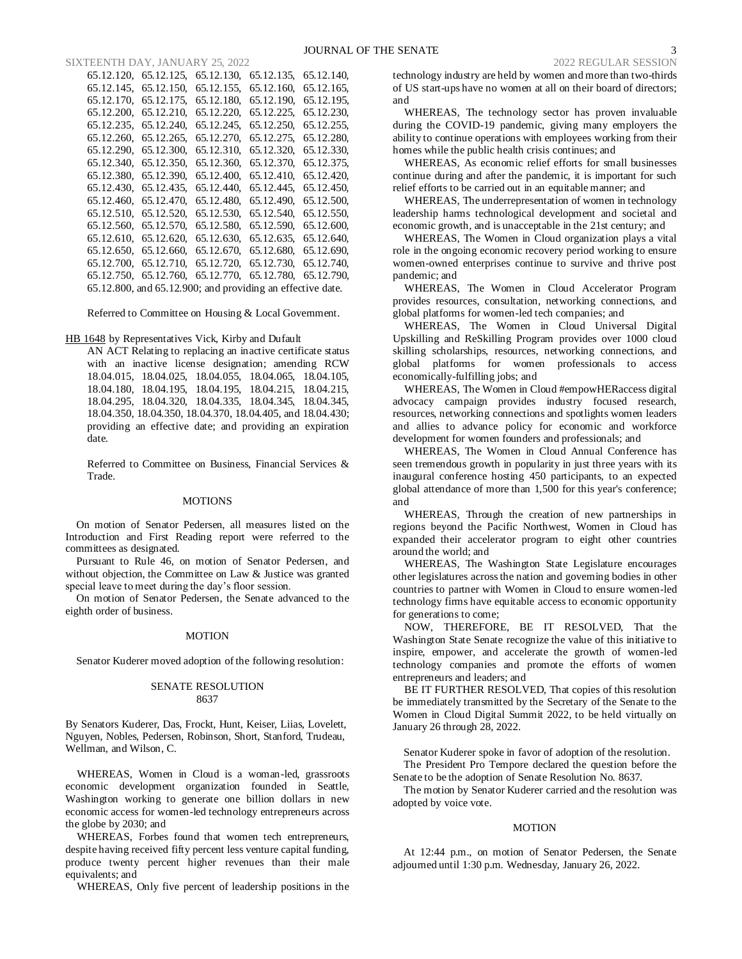SIXTEENTH DAY, JANUARY 25, 2022 2022 2022 2022 2022 REGULAR SESSION

| 65.12.125,                                                       | 65.12.130. | 65.12.135. | 65.12.140, |  |
|------------------------------------------------------------------|------------|------------|------------|--|
| 65.12.150.                                                       | 65.12.155. | 65.12.160. | 65.12.165. |  |
| 65.12.175.                                                       | 65.12.180, | 65.12.190. | 65.12.195. |  |
| 65.12.210.                                                       | 65.12.220. | 65.12.225. | 65.12.230, |  |
| 65.12.240,                                                       | 65.12.245. | 65.12.250, | 65.12.255, |  |
| 65.12.265,                                                       | 65.12.270, | 65.12.275. | 65.12.280, |  |
| 65.12.300,                                                       | 65.12.310, | 65.12.320, | 65.12.330, |  |
| 65.12.350.                                                       | 65.12.360, | 65.12.370. | 65.12.375, |  |
| 65.12.390.                                                       | 65.12.400. | 65.12.410. | 65.12.420. |  |
| 65.12.435,                                                       | 65.12.440, | 65.12.445, | 65.12.450, |  |
| 65.12.470.                                                       | 65.12.480, | 65.12.490, | 65.12.500, |  |
| 65.12.520,                                                       | 65.12.530. | 65.12.540. | 65.12.550. |  |
| 65.12.570,                                                       | 65.12.580, | 65.12.590, | 65.12.600, |  |
| 65.12.620,                                                       | 65.12.630, | 65.12.635, | 65.12.640, |  |
| 65.12.660,                                                       | 65.12.670, | 65.12.680, | 65.12.690, |  |
| 65.12.710.                                                       | 65.12.720. | 65.12.730, | 65.12.740. |  |
| 65.12.760,                                                       | 65.12.770. | 65.12.780, | 65.12.790, |  |
| $65.12.800$ , and $65.12.900$ ; and providing an effective date. |            |            |            |  |
|                                                                  |            |            |            |  |

Referred to Committee on Housing & Local Government.

## HB 1648 by Representatives Vick, Kirby and Dufault

AN ACT Relating to replacing an inactive certificate status with an inactive license designation; amending RCW 18.04.015, 18.04.025, 18.04.055, 18.04.065, 18.04.105, 18.04.180, 18.04.195, 18.04.195, 18.04.215, 18.04.215, 18.04.295, 18.04.320, 18.04.335, 18.04.345, 18.04.345, 18.04.350, 18.04.350, 18.04.370, 18.04.405, and 18.04.430; providing an effective date; and providing an expiration date.

Referred to Committee on Business, Financial Services & Trade.

#### MOTIONS

On motion of Senator Pedersen, all measures listed on the Introduction and First Reading report were referred to the committees as designated.

Pursuant to Rule 46, on motion of Senator Pedersen, and without objection, the Committee on Law & Justice was granted special leave to meet during the day's floor session.

On motion of Senator Pedersen, the Senate advanced to the eighth order of business.

#### MOTION

Senator Kuderer moved adoption of the following resolution:

## SENATE RESOLUTION 8637

By Senators Kuderer, Das, Frockt, Hunt, Keiser, Liias, Lovelett, Nguyen, Nobles, Pedersen, Robinson, Short, Stanford, Trudeau, Wellman, and Wilson, C.

WHEREAS, Women in Cloud is a woman-led, grassroots economic development organization founded in Seattle, Washington working to generate one billion dollars in new economic access for women-led technology entrepreneurs across the globe by 2030; and

WHEREAS, Forbes found that women tech entrepreneurs, despite having received fifty percent less venture capital funding, produce twenty percent higher revenues than their male equivalents; and

WHEREAS, Only five percent of leadership positions in the

technology industry are held by women and more than two-thirds of US start-ups have no women at all on their board of directors; and

WHEREAS, The technology sector has proven invaluable during the COVID-19 pandemic, giving many employers the ability to continue operations with employees working from their homes while the public health crisis continues; and

WHEREAS, As economic relief efforts for small businesses continue during and after the pandemic, it is important for such relief efforts to be carried out in an equitable manner; and

WHEREAS, The underrepresentation of women in technology leadership harms technological development and societal and economic growth, and is unacceptable in the 21st century; and

WHEREAS, The Women in Cloud organization plays a vital role in the ongoing economic recovery period working to ensure women-owned enterprises continue to survive and thrive post pandemic; and

WHEREAS, The Women in Cloud Accelerator Program provides resources, consultation, networking connections, and global platforms for women-led tech companies; and

WHEREAS, The Women in Cloud Universal Digital Upskilling and ReSkilling Program provides over 1000 cloud skilling scholarships, resources, networking connections, and global platforms for women professionals to access economically-fulfilling jobs; and

WHEREAS, The Women in Cloud #empowHERaccess digital advocacy campaign provides industry focused research, resources, networking connections and spotlights women leaders and allies to advance policy for economic and workforce development for women founders and professionals; and

WHEREAS, The Women in Cloud Annual Conference has seen tremendous growth in popularity in just three years with its inaugural conference hosting 450 participants, to an expected global attendance of more than 1,500 for this year's conference; and

WHEREAS, Through the creation of new partnerships in regions beyond the Pacific Northwest, Women in Cloud has expanded their accelerator program to eight other countries around the world; and

WHEREAS, The Washington State Legislature encourages other legislatures across the nation and governing bodies in other countries to partner with Women in Cloud to ensure women-led technology firms have equitable access to economic opportunity for generations to come;

NOW, THEREFORE, BE IT RESOLVED, That the Washington State Senate recognize the value of this initiative to inspire, empower, and accelerate the growth of women-led technology companies and promote the efforts of women entrepreneurs and leaders; and

BE IT FURTHER RESOLVED, That copies of this resolution be immediately transmitted by the Secretary of the Senate to the Women in Cloud Digital Summit 2022, to be held virtually on January 26 through 28, 2022.

Senator Kuderer spoke in favor of adoption of the resolution.

The President Pro Tempore declared the question before the Senate to be the adoption of Senate Resolution No. 8637.

The motion by Senator Kuderer carried and the resolution was adopted by voice vote.

### MOTION

At 12:44 p.m., on motion of Senator Pedersen, the Senate adjourned until 1:30 p.m. Wednesday, January 26, 2022.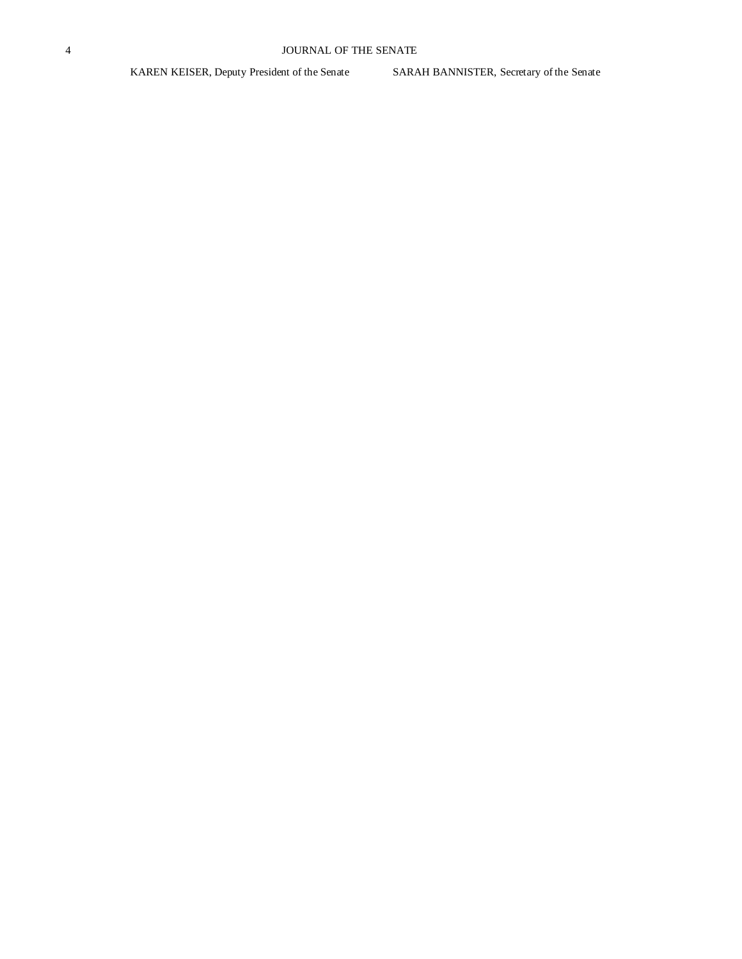KAREN KEISER, Deputy President of the Senate SARAH BANNISTER, Secretary of the Senate